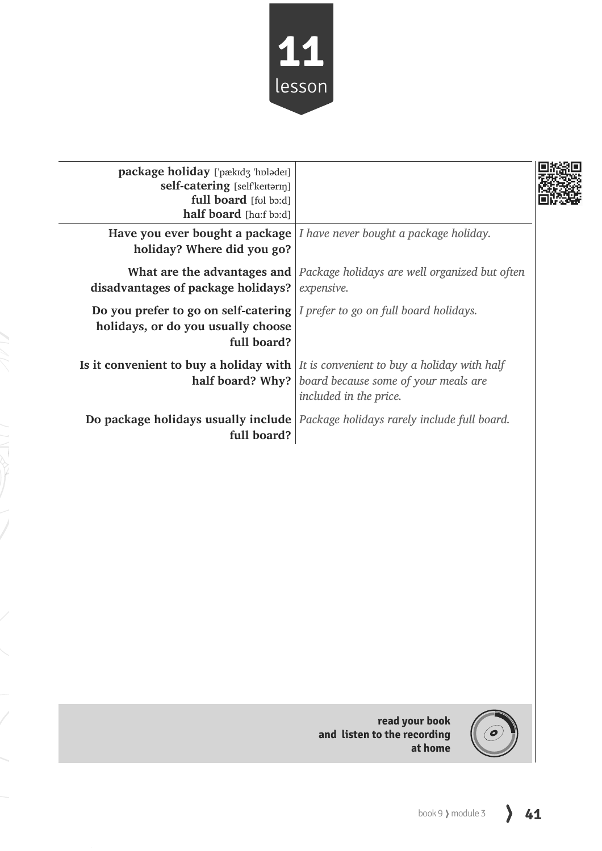

| package holiday ['pækɪdʒ 'hplədeɪ]<br>self-catering [selfkeɪtərɪŋ]<br>full board [ful bo:d]<br>half board [ha:f bɔ:d]                           |                                                                                                |  |
|-------------------------------------------------------------------------------------------------------------------------------------------------|------------------------------------------------------------------------------------------------|--|
| holiday? Where did you go?                                                                                                                      | <b>Have you ever bought a package</b> $\vert$ <i>I have never bought a package holiday.</i>    |  |
| disadvantages of package holidays?                                                                                                              | <b>What are the advantages and</b> Package holidays are well organized but often<br>expensive. |  |
| <b>Do you prefer to go on self-catering</b> $\vert I$ prefer to go on full board holidays.<br>holidays, or do you usually choose<br>full board? |                                                                                                |  |
| <b>Is it convenient to buy a holiday with</b> $\vert$ <i>It is convenient to buy a holiday with half</i>                                        | <b>half board? Why?</b>   board because some of your meals are<br>included in the price.       |  |
| full board?                                                                                                                                     | Do package holidays usually include   Package holidays rarely include full board.              |  |



**read your book and listen to the recording at home**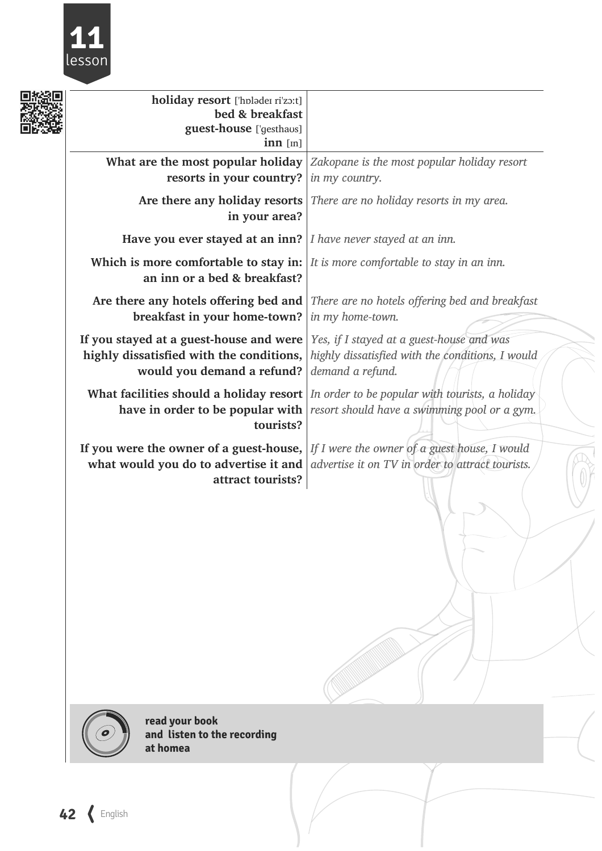

| bed & breakfast<br>guest-house ['gesthaos]<br>$inn$ [m]                                                                                                                                |                                                                                                                                             |
|----------------------------------------------------------------------------------------------------------------------------------------------------------------------------------------|---------------------------------------------------------------------------------------------------------------------------------------------|
| resorts in your country?                                                                                                                                                               | What are the most popular holiday $ Za_k\rangle$ <i>zakopane is the most popular holiday resort</i><br>in my country.                       |
| in your area?                                                                                                                                                                          | Are there any holiday resorts   There are no holiday resorts in my area.                                                                    |
| Have you ever stayed at an inn?   I have never stayed at an inn.                                                                                                                       |                                                                                                                                             |
| Which is more comfortable to stay in: $\vert$ <i>It is more comfortable to stay in an inn.</i><br>an inn or a bed & breakfast?                                                         |                                                                                                                                             |
| breakfast in your home-town?                                                                                                                                                           | Are there any hotels offering bed and There are no hotels offering bed and breakfast<br>in my home-town.                                    |
| If you stayed at a guest-house and were<br>highly dissatisfied with the conditions,<br>would you demand a refund?                                                                      | Yes, if I stayed at a guest-house and was<br>highly dissatisfied with the conditions, I would<br>demand a refund.                           |
| have in order to be popular with<br>tourists?                                                                                                                                          | What facilities should a holiday resort $ $ In order to be popular with tourists, a holiday<br>resort should have a swimming pool or a gym. |
| If you were the owner of a guest-house, $\lfloor \text{If } I \text{ were the owner of a guest house, } I \text{ would}$<br>what would you do to advertise it and<br>attract tourists? | advertise it on TV in order to attract tourists.                                                                                            |
|                                                                                                                                                                                        | holiday resort ['hplader ri'zo:t]                                                                                                           |



**read your book and listen to the recording at homea**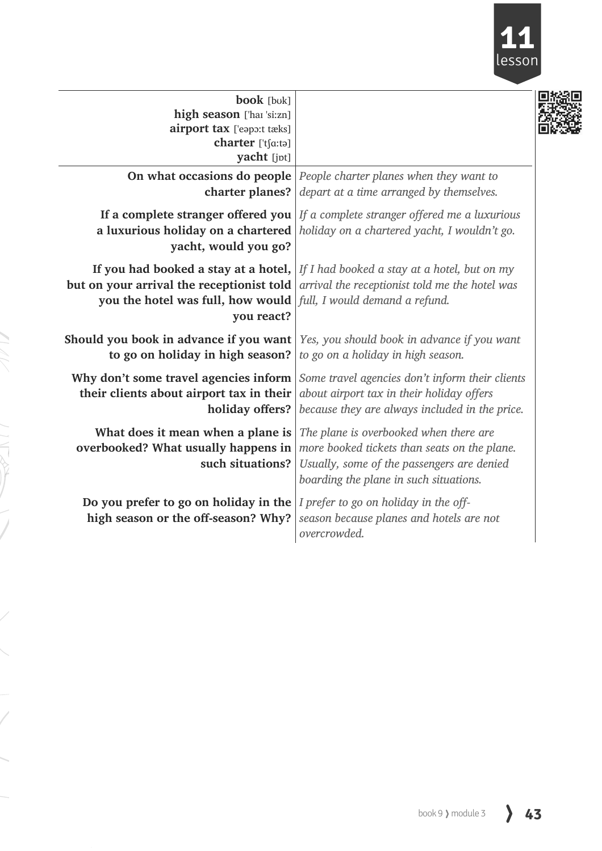

| <b>book</b> [buk]<br>high season ['haɪ 'si:zn]<br>airport tax ['eapo:t tæks]<br>charter ['tʃɑ:tə]<br>yacht [jpt]              |                                                                                                                                                                                             |
|-------------------------------------------------------------------------------------------------------------------------------|---------------------------------------------------------------------------------------------------------------------------------------------------------------------------------------------|
| charter planes?                                                                                                               | <b>On what occasions do people</b> People charter planes when they want to<br>depart at a time arranged by themselves.                                                                      |
| a luxurious holiday on a chartered<br>yacht, would you go?                                                                    | If a complete stranger offered you   If a complete stranger offered me a luxurious<br>holiday on a chartered yacht, I wouldn't go.                                                          |
| but on your arrival the receptionist told<br>you the hotel was full, how would   full, I would demand a refund.<br>you react? | If you had booked a stay at a hotel, If I had booked a stay at a hotel, but on my<br>arrival the receptionist told me the hotel was                                                         |
| Should you book in advance if you want<br>to go on holiday in high season?                                                    | Yes, you should book in advance if you want<br>to go on a holiday in high season.                                                                                                           |
| their clients about airport tax in their<br>holiday offers?                                                                   | <b>Why don't some travel agencies inform</b> Some travel agencies don't inform their clients<br>about airport tax in their holiday offers<br>because they are always included in the price. |
| What does it mean when a plane is<br>overbooked? What usually happens in<br>such situations?                                  | The plane is overbooked when there are<br>more booked tickets than seats on the plane.<br>Usually, some of the passengers are denied<br>boarding the plane in such situations.              |
| Do you prefer to go on holiday in the<br>high season or the off-season? Why?                                                  | I prefer to go on holiday in the off-<br>season because planes and hotels are not<br>overcrowded.                                                                                           |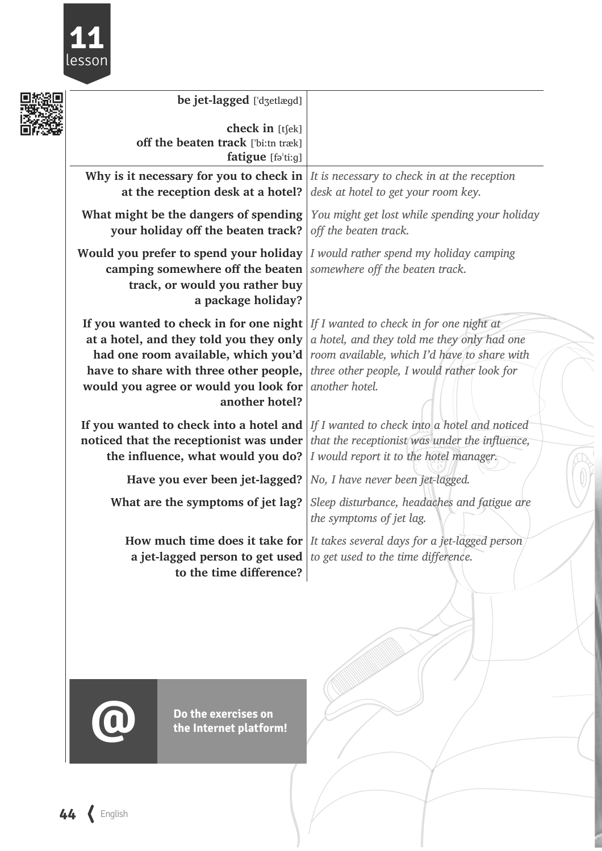

| 口实 | be jet-lagged ['d3etlægd]                                                                                                                                                                                                      |                                                                                                                                                                                                          |
|----|--------------------------------------------------------------------------------------------------------------------------------------------------------------------------------------------------------------------------------|----------------------------------------------------------------------------------------------------------------------------------------------------------------------------------------------------------|
|    | check in [tʃek]<br>off the beaten track ['bi:tn træk]<br>fatigue [fə'ti:g]                                                                                                                                                     |                                                                                                                                                                                                          |
|    | Why is it necessary for you to check in<br>at the reception desk at a hotel?                                                                                                                                                   | It is necessary to check in at the reception<br>desk at hotel to get your room key.                                                                                                                      |
|    | What might be the dangers of spending<br>your holiday off the beaten track?                                                                                                                                                    | You might get lost while spending your holiday<br>off the beaten track.                                                                                                                                  |
|    | Would you prefer to spend your holiday<br>camping somewhere off the beaten<br>track, or would you rather buy<br>a package holiday?                                                                                             | I would rather spend my holiday camping<br>somewhere off the beaten track.                                                                                                                               |
|    | If you wanted to check in for one night<br>at a hotel, and they told you they only<br>had one room available, which you'd<br>have to share with three other people,<br>would you agree or would you look for<br>another hotel? | If I wanted to check in for one night at<br>a hotel, and they told me they only had one<br>room available, which I'd have to share with<br>three other people, I would rather look for<br>another hotel. |
|    | If you wanted to check into a hotel and<br>noticed that the receptionist was under<br>the influence, what would you do?                                                                                                        | If I wanted to check into a hotel and noticed<br>that the receptionist was under the influence,<br>I would report it to the hotel manager.                                                               |
|    | Have you ever been jet-lagged?                                                                                                                                                                                                 | No, I have never been jet-lagged.                                                                                                                                                                        |
|    | What are the symptoms of jet lag?                                                                                                                                                                                              | Sleep disturbance, headaches and fatigue are<br>the symptoms of jet lag.                                                                                                                                 |
|    | a jet-lagged person to get used $\vert$ to get used to the time difference.<br>to the time difference?                                                                                                                         | How much time does it take for $ I$ takes several days for a jet-lagged person                                                                                                                           |
|    |                                                                                                                                                                                                                                |                                                                                                                                                                                                          |



**Do the exercises on the Internet platform!**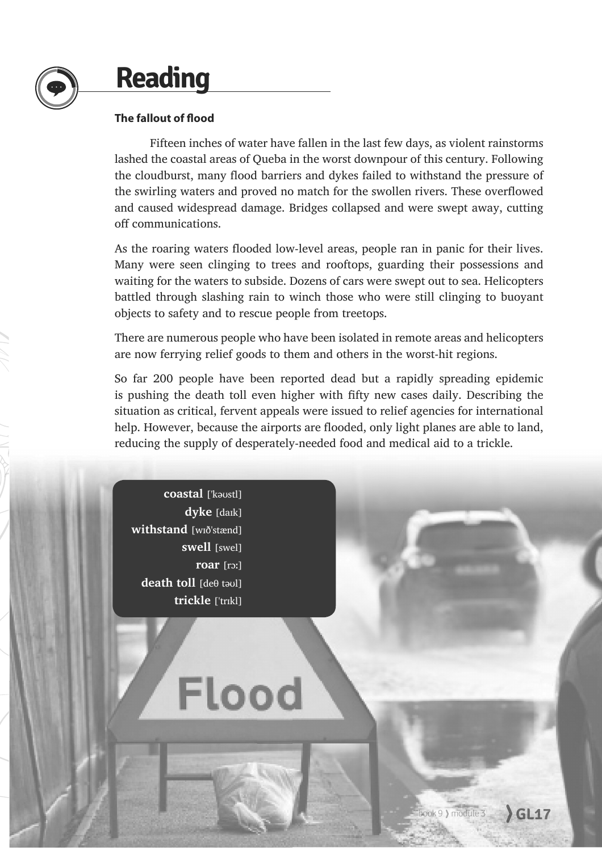## **Reading**

#### **The fallout of flood**

Fifteen inches of water have fallen in the last few days, as violent rainstorms lashed the coastal areas of Queba in the worst downpour of this century. Following the cloudburst, many flood barriers and dykes failed to withstand the pressure of the swirling waters and proved no match for the swollen rivers. These overflowed and caused widespread damage. Bridges collapsed and were swept away, cutting off communications.

As the roaring waters flooded low-level areas, people ran in panic for their lives. Many were seen clinging to trees and rooftops, guarding their possessions and waiting for the waters to subside. Dozens of cars were swept out to sea. Helicopters battled through slashing rain to winch those who were still clinging to buoyant objects to safety and to rescue people from treetops.

There are numerous people who have been isolated in remote areas and helicopters are now ferrying relief goods to them and others in the worst-hit regions.

So far 200 people have been reported dead but a rapidly spreading epidemic is pushing the death toll even higher with fifty new cases daily. Describing the situation as critical, fervent appeals were issued to relief agencies for international help. However, because the airports are flooded, only light planes are able to land, reducing the supply of desperately-needed food and medical aid to a trickle.

coastal ['kaustl] **dyke** [daɪk] **withstand** [wið'stænd] **swell** [swel] **roar** [rɔː] **death toll Ideθ** taull **trickle** ['trɪkl]

# Flood

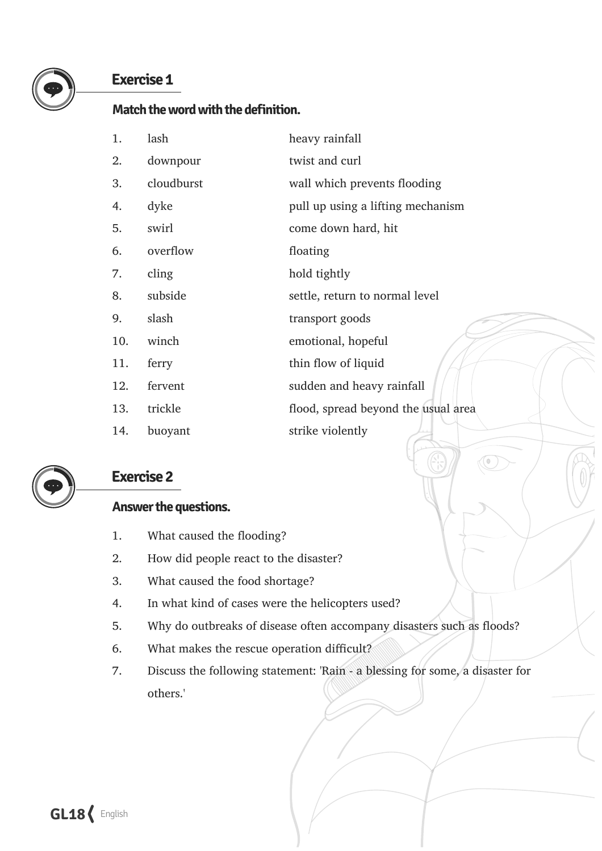

#### **Exercise 1**

#### **Match the word with the definition.**

| 1.  | lash       | heavy rainfall                      |
|-----|------------|-------------------------------------|
| 2.  | downpour   | twist and curl                      |
| 3.  | cloudburst | wall which prevents flooding        |
| 4.  | dyke       | pull up using a lifting mechanism   |
| 5.  | swirl      | come down hard, hit                 |
| 6.  | overflow   | floating                            |
| 7.  | cling      | hold tightly                        |
| 8.  | subside    | settle, return to normal level      |
| 9.  | slash      | transport goods                     |
| 10. | winch      | emotional, hopeful                  |
| 11. | ferry      | thin flow of liquid                 |
| 12. | fervent    | sudden and heavy rainfall           |
| 13. | trickle    | flood, spread beyond the usual area |
| 14. | buoyant    | strike violently                    |



#### **Exercise 2**

#### **Answer the questions.**

- 1. What caused the flooding?
- 2. How did people react to the disaster?
- 3. What caused the food shortage?
- 4. In what kind of cases were the helicopters used?
- 5. Why do outbreaks of disease often accompany disasters such as floods?
- 6. What makes the rescue operation difficult?
- 7. Discuss the following statement: 'Rain a blessing for some, a disaster for others.'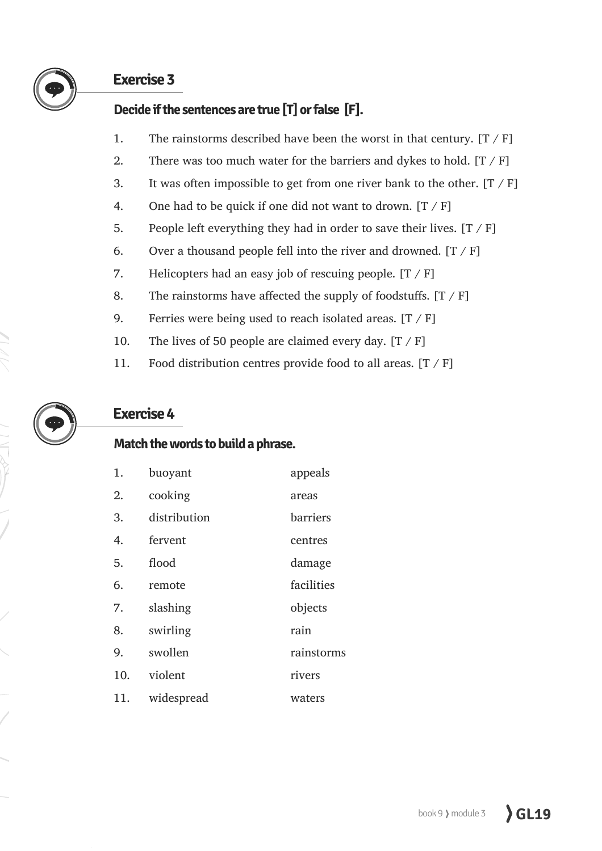

#### **Exercise 3**

#### **Decide if the sentences are true [T] or false [F].**

- 1. The rainstorms described have been the worst in that century.  $[T / F]$
- 2. There was too much water for the barriers and dykes to hold.  $[T / F]$
- 3. It was often impossible to get from one river bank to the other.  $[T / F]$
- 4. One had to be quick if one did not want to drown.  $[T / F]$
- 5. People left everything they had in order to save their lives.  $[T / F]$
- 6. Over a thousand people fell into the river and drowned.  $[T / F]$
- 7. Helicopters had an easy job of rescuing people.  $[T / F]$
- 8. The rainstorms have affected the supply of foodstuffs.  $[T / F]$
- 9. Ferries were being used to reach isolated areas.  $[T / F]$
- 10. The lives of 50 people are claimed every day.  $[T / F]$
- 11. Food distribution centres provide food to all areas.  $[T / F]$

## **Exercise 4**

#### **Match the words to build a phrase.**

| 1.  | buoyant      | appeals    |
|-----|--------------|------------|
| 2.  | cooking      | areas      |
| 3.  | distribution | barriers   |
| 4.  | fervent      | centres    |
| 5.  | flood        | damage     |
| 6.  | remote       | facilities |
| 7.  | slashing     | objects    |
| 8.  | swirling     | rain       |
| 9.  | swollen      | rainstorms |
| 10. | violent      | rivers     |
| 11. | widespread   | waters     |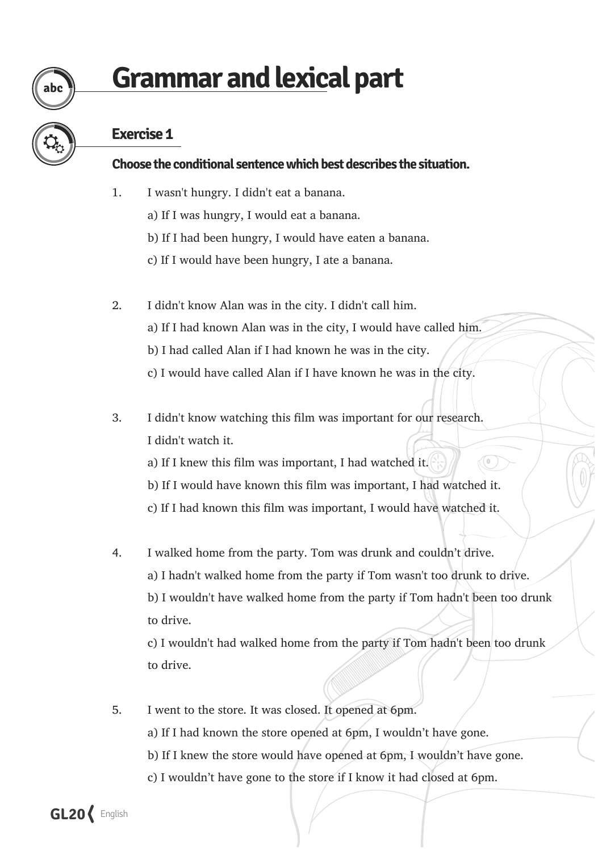# **Grammar and lexical part**

## **Exercise 1**

abc

#### **Choose the conditional sentence which best describes the situation.**

- 1. I wasn't hungry. I didn't eat a banana.
	- a) If I was hungry, I would eat a banana.
	- b) If I had been hungry, I would have eaten a banana.
	- c) If I would have been hungry, I ate a banana.
- 2. I didn't know Alan was in the city. I didn't call him. a) If I had known Alan was in the city, I would have called him. b) I had called Alan if I had known he was in the city. c) I would have called Alan if I have known he was in the city.
- 3. I didn't know watching this film was important for our research. I didn't watch it.
	- a) If I knew this film was important, I had watched it.
	- b) If I would have known this film was important, I had watched it.
	- c) If I had known this film was important, I would have watched it.
- 4. I walked home from the party. Tom was drunk and couldn't drive. a) I hadn't walked home from the party if Tom wasn't too drunk to drive. b) I wouldn't have walked home from the party if Tom hadn't been too drunk to drive.

c) I wouldn't had walked home from the party if Tom hadn't been too drunk to drive.

5. I went to the store. It was closed. It opened at 6pm. a) If I had known the store opened at 6pm, I wouldn't have gone. b) If I knew the store would have opened at 6pm, I wouldn't have gone. c) I wouldn't have gone to the store if I know it had closed at 6pm.